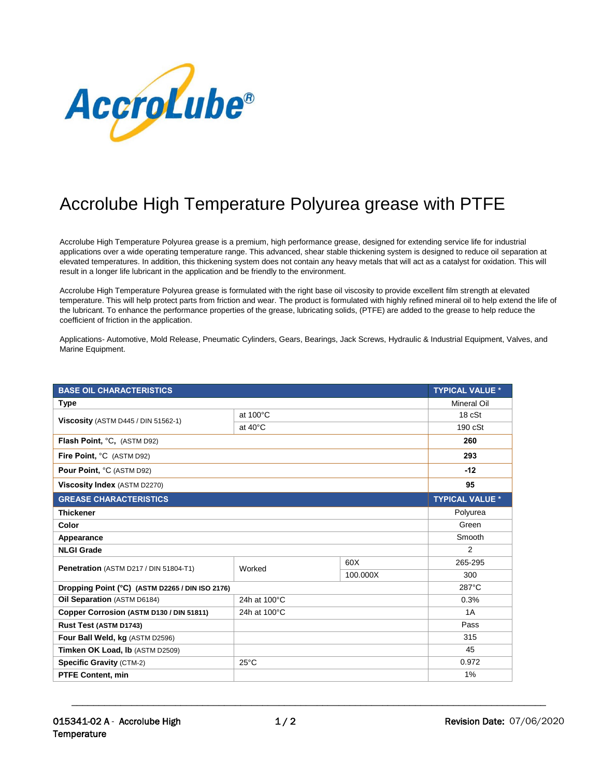

## Accrolube High Temperature Polyurea grease with PTFE

Accrolube High Temperature Polyurea grease is a premium, high performance grease, designed for extending service life for industrial applications over a wide operating temperature range. This advanced, shear stable thickening system is designed to reduce oil separation at elevated temperatures. In addition, this thickening system does not contain any heavy metals that will act as a catalyst for oxidation. This will result in a longer life lubricant in the application and be friendly to the environment.

Accrolube High Temperature Polyurea grease is formulated with the right base oil viscosity to provide excellent film strength at elevated temperature. This will help protect parts from friction and wear. The product is formulated with highly refined mineral oil to help extend the life of the lubricant. To enhance the performance properties of the grease, lubricating solids, (PTFE) are added to the grease to help reduce the coefficient of friction in the application.

Applications- Automotive, Mold Release, Pneumatic Cylinders, Gears, Bearings, Jack Screws, Hydraulic & Industrial Equipment, Valves, and Marine Equipment.

| <b>BASE OIL CHARACTERISTICS</b>                 |                   |          | <b>TYPICAL VALUE *</b> |
|-------------------------------------------------|-------------------|----------|------------------------|
| <b>Type</b>                                     |                   |          | <b>Mineral Oil</b>     |
| <b>Viscosity</b> (ASTM D445 / DIN 51562-1)      | at 100°C          |          | 18 cSt                 |
|                                                 | at $40^{\circ}$ C |          | $190 \text{ cSt}$      |
| Flash Point, °C, (ASTM D92)                     |                   |          | 260                    |
| Fire Point, °C (ASTM D92)                       |                   |          | 293                    |
| Pour Point, °C (ASTM D92)                       |                   |          | $-12$                  |
| Viscosity Index (ASTM D2270)                    |                   |          | 95                     |
| <b>GREASE CHARACTERISTICS</b>                   |                   |          | <b>TYPICAL VALUE *</b> |
| <b>Thickener</b>                                |                   |          | Polyurea               |
| Color                                           |                   |          | Green                  |
| Appearance                                      |                   |          | Smooth                 |
| <b>NLGI Grade</b>                               |                   |          | $\overline{2}$         |
| Penetration (ASTM D217 / DIN 51804-T1)          | Worked            | 60X      | 265-295                |
|                                                 |                   | 100.000X | 300                    |
| Dropping Point (°C) (ASTM D2265 / DIN ISO 2176) |                   |          | 287°C                  |
| Oil Separation (ASTM D6184)                     | 24h at 100°C      |          | 0.3%                   |
| Copper Corrosion (ASTM D130 / DIN 51811)        | 24h at 100°C      |          | 1A                     |
| Rust Test (ASTM D1743)                          |                   |          | Pass                   |
| Four Ball Weld, kg (ASTM D2596)                 |                   |          | 315                    |
| Timken OK Load, Ib (ASTM D2509)                 |                   |          | 45                     |
| <b>Specific Gravity (CTM-2)</b>                 | $25^{\circ}$ C    |          | 0.972                  |
| <b>PTFE Content, min</b>                        |                   |          | 1%                     |

\_\_\_\_\_\_\_\_\_\_\_\_\_\_\_\_\_\_\_\_\_\_\_\_\_\_\_\_\_\_\_\_\_\_\_\_\_\_\_\_\_\_\_\_\_\_\_\_\_\_\_\_\_\_\_\_\_\_\_\_\_\_\_\_\_\_\_\_\_\_\_\_\_\_\_\_\_\_\_\_\_\_\_\_\_\_\_